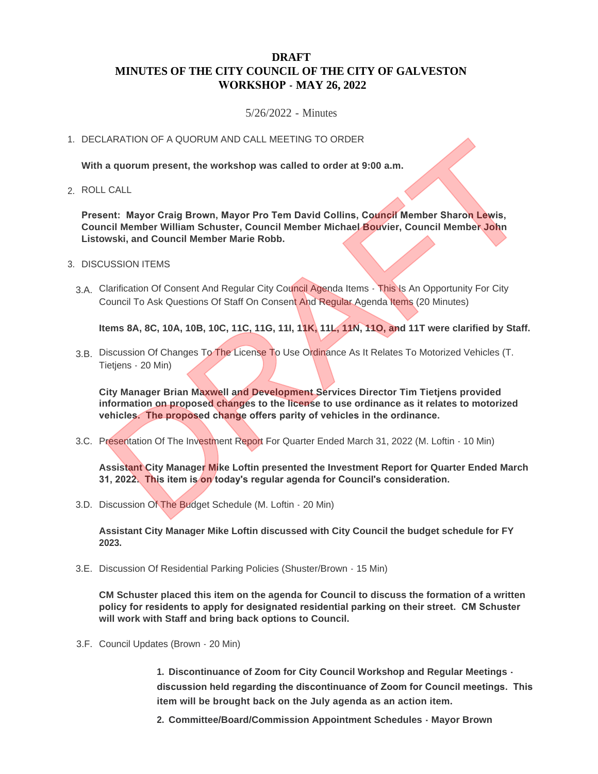## **DRAFT MINUTES OF THE CITY COUNCIL OF THE CITY OF GALVESTON WORKSHOP - MAY 26, 2022**

## 5/26/2022 - Minutes

## 1. DECLARATION OF A QUORUM AND CALL MEETING TO ORDER

**With a quorum present, the workshop was called to order at 9:00 a.m.**

ROLL CALL 2.

**Present: Mayor Craig Brown, Mayor Pro Tem David Collins, Council Member Sharon Lewis, Council Member William Schuster, Council Member Michael Bouvier, Council Member John Listowski, and Council Member Marie Robb.**

- 3. DISCUSSION ITEMS
	- 3.A. Clarification Of Consent And Regular City Council Agenda Items This Is An Opportunity For City Council To Ask Questions Of Staff On Consent And Regular Agenda Items (20 Minutes)

**Items 8A, 8C, 10A, 10B, 10C, 11C, 11G, 11I, 11K, 11L, 11N, 11O, and 11T were clarified by Staff.**

3.B. Discussion Of Changes To The License To Use Ordinance As It Relates To Motorized Vehicles (T. Tietjens - 20 Min)

**City Manager Brian Maxwell and Development Services Director Tim Tietjens provided information on proposed changes to the license to use ordinance as it relates to motorized vehicles. The proposed change offers parity of vehicles in the ordinance.**  ARATION OF A QUORUM AND CALL MEETING TO ORDER<br>
a quorum present, the workshop was called to order at 9:00 a.m.<br>
cALL<br>
ent: Mayor Craig Brown, Mayor Pro Tem David Collins, Council Member Sharon Lewis,<br>
entil Member William

3.C. Presentation Of The Investment Report For Quarter Ended March 31, 2022 (M. Loftin - 10 Min)

**Assistant City Manager Mike Loftin presented the Investment Report for Quarter Ended March 31, 2022. This item is on today's regular agenda for Council's consideration.**

3.D. Discussion Of The Budget Schedule (M. Loftin - 20 Min)

**Assistant City Manager Mike Loftin discussed with City Council the budget schedule for FY 2023.**

3.E. Discussion Of Residential Parking Policies (Shuster/Brown - 15 Min)

**CM Schuster placed this item on the agenda for Council to discuss the formation of a written policy for residents to apply for designated residential parking on their street. CM Schuster will work with Staff and bring back options to Council.**

3.F. Council Updates (Brown - 20 Min)

**1. Discontinuance of Zoom for City Council Workshop and Regular Meetings discussion held regarding the discontinuance of Zoom for Council meetings. This item will be brought back on the July agenda as an action item.**

**2. Committee/Board/Commission Appointment Schedules - Mayor Brown**